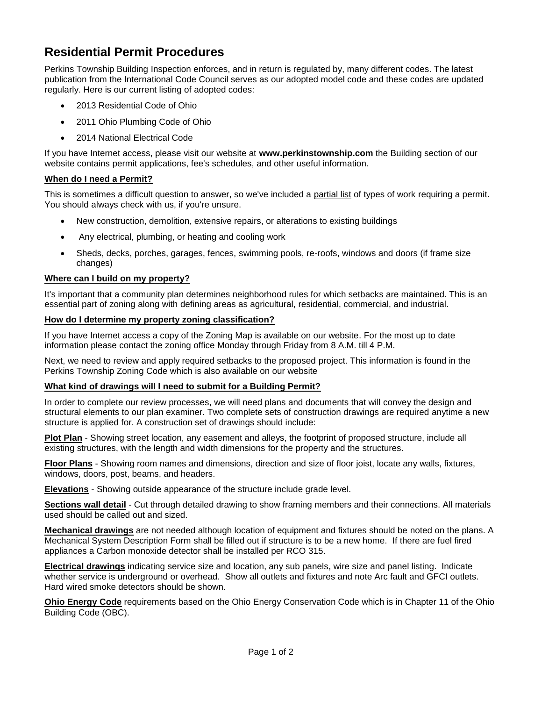# **Residential Permit Procedures**

Perkins Township Building Inspection enforces, and in return is regulated by, many different codes. The latest publication from the International Code Council serves as our adopted model code and these codes are updated regularly. Here is our current listing of adopted codes:

- 2013 Residential Code of Ohio
- 2011 Ohio Plumbing Code of Ohio
- 2014 National Electrical Code

If you have Internet access, please visit our website at **[www.perkinstownship.com](http://www.perkinstownship.com/)** the Building section of our website contains permit applications, fee's schedules, and other useful information.

# **When do I need a Permit?**

This is sometimes a difficult question to answer, so we've included a partial list of types of work requiring a permit. You should always check with us, if you're unsure.

- New construction, demolition, extensive repairs, or alterations to existing buildings
- Any electrical, plumbing, or heating and cooling work
- Sheds, decks, porches, garages, fences, swimming pools, re-roofs, windows and doors (if frame size changes)

## **Where can I build on my property?**

It's important that a community plan determines neighborhood rules for which setbacks are maintained. This is an essential part of zoning along with defining areas as agricultural, residential, commercial, and industrial.

## **How do I determine my property zoning classification?**

If you have Internet access a copy of the Zoning Map is available on our website. For the most up to date information please contact the zoning office Monday through Friday from 8 A.M. till 4 P.M.

Next, we need to review and apply required setbacks to the proposed project. This information is found in the Perkins Township Zoning Code which is also available on our website

#### **What kind of drawings will I need to submit for a Building Permit?**

In order to complete our review processes, we will need plans and documents that will convey the design and structural elements to our plan examiner. Two complete sets of construction drawings are required anytime a new structure is applied for. A construction set of drawings should include:

**Plot Plan** - Showing street location, any easement and alleys, the footprint of proposed structure, include all existing structures, with the length and width dimensions for the property and the structures.

**Floor Plans** - Showing room names and dimensions, direction and size of floor joist, locate any walls, fixtures, windows, doors, post, beams, and headers.

**Elevations** - Showing outside appearance of the structure include grade level.

**Sections wall detail** - Cut through detailed drawing to show framing members and their connections. All materials used should be called out and sized.

**Mechanical drawings** are not needed although location of equipment and fixtures should be noted on the plans. A Mechanical System Description Form shall be filled out if structure is to be a new home. If there are fuel fired appliances a Carbon monoxide detector shall be installed per RCO 315.

**Electrical drawings** indicating service size and location, any sub panels, wire size and panel listing. Indicate whether service is underground or overhead. Show all outlets and fixtures and note Arc fault and GFCI outlets. Hard wired smoke detectors should be shown.

**Ohio Energy Code** requirements based on the Ohio Energy Conservation Code which is in Chapter 11 of the Ohio Building Code (OBC).